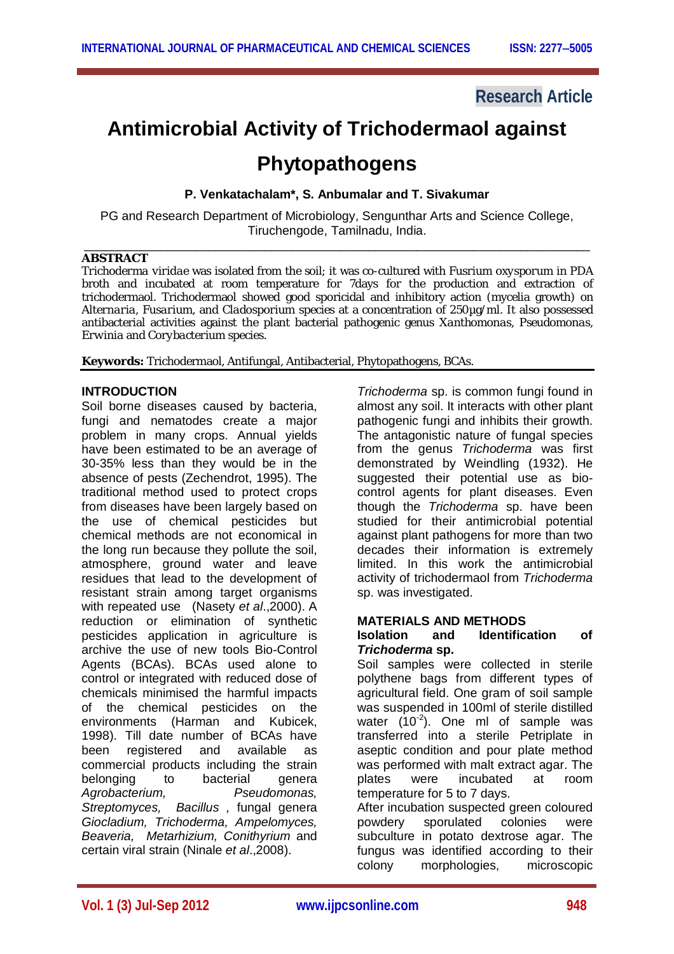# **Research Article**

# **Antimicrobial Activity of Trichodermaol against Phytopathogens**

**P. Venkatachalam\*, S. Anbumalar and T. Sivakumar**

PG and Research Department of Microbiology, Sengunthar Arts and Science College, Tiruchengode, Tamilnadu, India.

#### \_\_\_\_\_\_\_\_\_\_\_\_\_\_\_\_\_\_\_\_\_\_\_\_\_\_\_\_\_\_\_\_\_\_\_\_\_\_\_\_\_\_\_\_\_\_\_\_\_\_\_\_\_\_\_\_\_\_\_\_\_\_\_\_\_\_\_\_\_\_\_\_\_ **ABSTRACT**

*Trichoderma viridae* was isolated from the soil; it was co-cultured with *Fusrium oxysporum* in PDA broth and incubated at room temperature for 7days for the production and extraction of trichodermaol. Trichodermaol showed good sporicidal and inhibitory action (mycelia growth) on *Alternaria, Fusarium*, and *Cladosporium* species at a concentration of 250µg/ml. It also possessed antibacterial activities against the plant bacterial pathogenic genus *Xanthomonas, Pseudomonas, Erwinia* and *Corybacterium* species.

**Keywords:** Trichodermaol, Antifungal, Antibacterial, Phytopathogens, BCAs.

#### **INTRODUCTION**

Soil borne diseases caused by bacteria, fungi and nematodes create a major problem in many crops. Annual yields have been estimated to be an average of 30-35% less than they would be in the absence of pests (Zechendrot, 1995). The traditional method used to protect crops from diseases have been largely based on the use of chemical pesticides but chemical methods are not economical in the long run because they pollute the soil, atmosphere, ground water and leave residues that lead to the development of resistant strain among target organisms with repeated use (Nasety *et al*.,2000). A reduction or elimination of synthetic pesticides application in agriculture is archive the use of new tools Bio-Control Agents (BCAs). BCAs used alone to control or integrated with reduced dose of chemicals minimised the harmful impacts of the chemical pesticides on the environments (Harman and Kubicek, 1998). Till date number of BCAs have been registered and available as commercial products including the strain belonging to bacterial genera *Agrobacterium, Pseudomonas, Streptomyces, Bacillus ,* fungal genera *Giocladium, Trichoderma, Ampelomyces, Beaveria, Metarhizium, Conithyrium* and certain viral strain (Ninale *et al*.,2008).

*Trichoderma* sp. is common fungi found in almost any soil. It interacts with other plant pathogenic fungi and inhibits their growth. The antagonistic nature of fungal species from the genus *Trichoderma* was first demonstrated by Weindling (1932). He suggested their potential use as biocontrol agents for plant diseases. Even though the *Trichoderma* sp. have been studied for their antimicrobial potential against plant pathogens for more than two decades their information is extremely limited. In this work the antimicrobial activity of trichodermaol from *Trichoderma* sp. was investigated.

# **MATERIALS AND METHODS**

#### **Isolation and Identification of**  *Trichoderma* **sp.**

Soil samples were collected in sterile polythene bags from different types of agricultural field. One gram of soil sample was suspended in 100ml of sterile distilled water  $(10^{-2})$ . One ml of sample was transferred into a sterile Petriplate in aseptic condition and pour plate method was performed with malt extract agar. The plates were incubated at room temperature for 5 to 7 days.

After incubation suspected green coloured powdery sporulated colonies were subculture in potato dextrose agar. The fungus was identified according to their colony morphologies, microscopic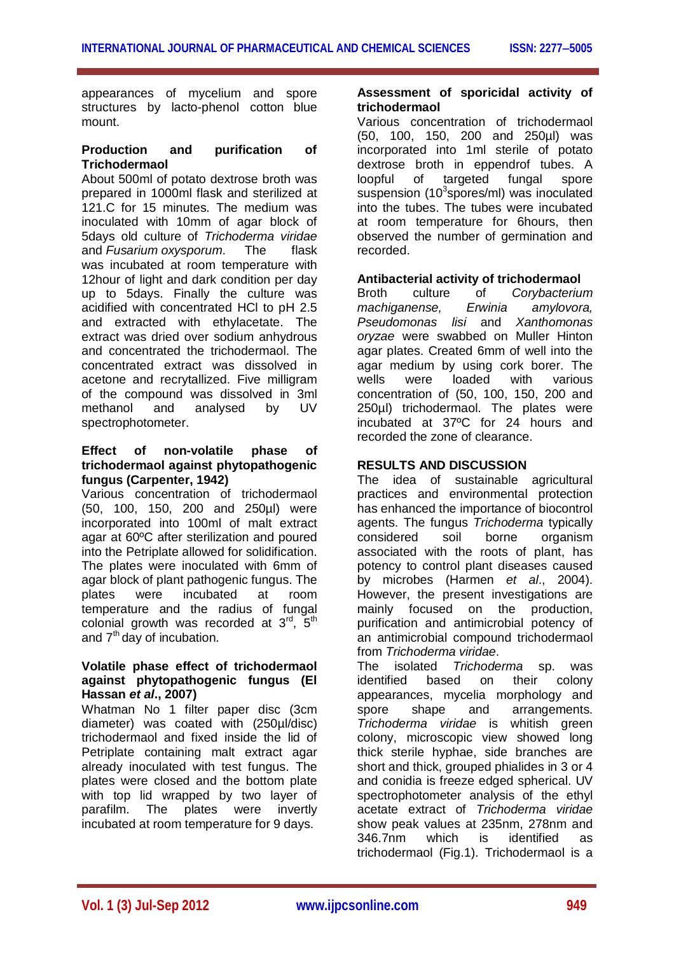appearances of mycelium and spore structures by lacto-phenol cotton blue mount.

#### **Production and purification of Trichodermaol**

About 500ml of potato dextrose broth was prepared in 1000ml flask and sterilized at 121 C for 15 minutes. The medium was inoculated with 10mm of agar block of 5days old culture of *Trichoderma viridae* and *Fusarium oxysporum*. The flask was incubated at room temperature with 12hour of light and dark condition per day up to 5days. Finally the culture was acidified with concentrated HCl to pH 2.5 and extracted with ethylacetate. The extract was dried over sodium anhydrous and concentrated the trichodermaol. The concentrated extract was dissolved in acetone and recrytallized. Five milligram of the compound was dissolved in 3ml methanol and analysed by UV spectrophotometer.

# **Effect of non-volatile phase of trichodermaol against phytopathogenic fungus (Carpenter, 1942)**

Various concentration of trichodermaol (50, 100, 150, 200 and 250µl) were incorporated into 100ml of malt extract agar at 60ºC after sterilization and poured into the Petriplate allowed for solidification. The plates were inoculated with 6mm of agar block of plant pathogenic fungus. The plates were incubated at room temperature and the radius of fungal colonial growth was recorded at  $3^{\text{rd}}$ ,  $5^{\text{th}}$ and  $7<sup>th</sup>$  day of incubation.

#### **Volatile phase effect of trichodermaol against phytopathogenic fungus (El Hassan** *et al***., 2007)**

Whatman No 1 filter paper disc (3cm diameter) was coated with (250µl/disc) trichodermaol and fixed inside the lid of Petriplate containing malt extract agar already inoculated with test fungus. The plates were closed and the bottom plate with top lid wrapped by two layer of parafilm. The plates were invertly parafilm. The plates were invertly incubated at room temperature for 9 days.

#### **Assessment of sporicidal activity of trichodermaol**

Various concentration of trichodermaol (50, 100, 150, 200 and 250µl) was incorporated into 1ml sterile of potato dextrose broth in eppendrof tubes. A loopful of targeted fungal spore suspension (10<sup>3</sup>spores/ml) was inoculated into the tubes. The tubes were incubated at room temperature for 6hours, then observed the number of germination and recorded.

# **Antibacterial activity of trichodermaol**

Broth culture of *Corybacterium machiganense, Erwinia amylovora, Pseudomonas lisi* and *Xanthomonas oryzae* were swabbed on Muller Hinton agar plates. Created 6mm of well into the agar medium by using cork borer. The wells were loaded with various concentration of (50, 100, 150, 200 and 250µl) trichodermaol. The plates were incubated at 37ºC for 24 hours and recorded the zone of clearance.

# **RESULTS AND DISCUSSION**

The idea of sustainable agricultural practices and environmental protection has enhanced the importance of biocontrol agents. The fungus *Trichoderma* typically considered soil borne organism associated with the roots of plant, has potency to control plant diseases caused by microbes (Harmen *et al*., 2004). However, the present investigations are mainly focused on the production, purification and antimicrobial potency of an antimicrobial compound trichodermaol from *Trichoderma viridae*.

The isolated *Trichoderma* sp. was identified based on their colony appearances, mycelia morphology and spore shape and arrangements. *Trichoderma viridae* is whitish green colony, microscopic view showed long thick sterile hyphae, side branches are short and thick, grouped phialides in 3 or 4 and conidia is freeze edged spherical. UV spectrophotometer analysis of the ethyl acetate extract of *Trichoderma viridae*  show peak values at 235nm, 278nm and<br>346.7nm which is identified as is identified as trichodermaol (Fig.1). Trichodermaol is a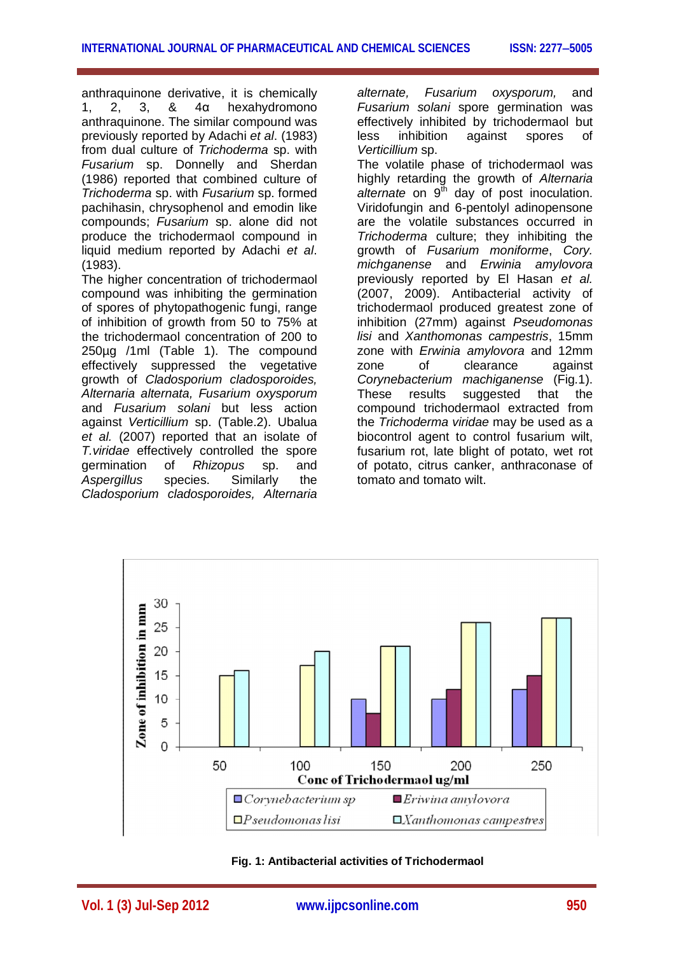anthraquinone derivative, it is chemically 1, 2, 3, & 4α hexahydromono anthraquinone. The similar compound was previously reported by Adachi *et al*. (1983) from dual culture of *Trichoderma* sp. with *Fusarium* sp. Donnelly and Sherdan (1986) reported that combined culture of *Trichoderma* sp. with *Fusarium* sp. formed pachihasin, chrysophenol and emodin like compounds; *Fusarium* sp. alone did not produce the trichodermaol compound in liquid medium reported by Adachi *et al*. (1983).

The higher concentration of trichodermaol compound was inhibiting the germination of spores of phytopathogenic fungi, range of inhibition of growth from 50 to 75% at the trichodermaol concentration of 200 to 250µg /1ml (Table 1). The compound effectively suppressed the vegetative growth of *Cladosporium cladosporoides, Alternaria alternata, Fusarium oxysporum* and *Fusarium solani* but less action against *Verticillium* sp. (Table.2). Ubalua *et al.* (2007) reported that an isolate of *T.viridae* effectively controlled the spore germination of *Rhizopus* sp. and *Aspergillus* species. Similarly the *Cladosporium cladosporoides, Alternaria* 

*alternate, Fusarium oxysporum,* and *Fusarium solani* spore germination was effectively inhibited by trichodermaol but less inhibition against spores of *Verticillium* sp.

The volatile phase of trichodermaol was highly retarding the growth of *Alternaria*  alternate on 9<sup>th</sup> day of post inoculation. Viridofungin and 6-pentolyl adinopensone are the volatile substances occurred in *Trichoderma* culture; they inhibiting the growth of *Fusarium moniforme*, *Cory. michganense* and *Erwinia amylovora* previously reported by El Hasan *et al.*  (2007, 2009). Antibacterial activity of trichodermaol produced greatest zone of inhibition (27mm) against *Pseudomonas lisi* and *Xanthomonas campestris*, 15mm zone with *Erwinia amylovora* and 12mm zone of clearance against *Corynebacterium machiganense* (Fig*.*1). These results suggested that the compound trichodermaol extracted from the *Trichoderma viridae* may be used as a biocontrol agent to control fusarium wilt, fusarium rot, late blight of potato, wet rot of potato, citrus canker, anthraconase of tomato and tomato wilt.



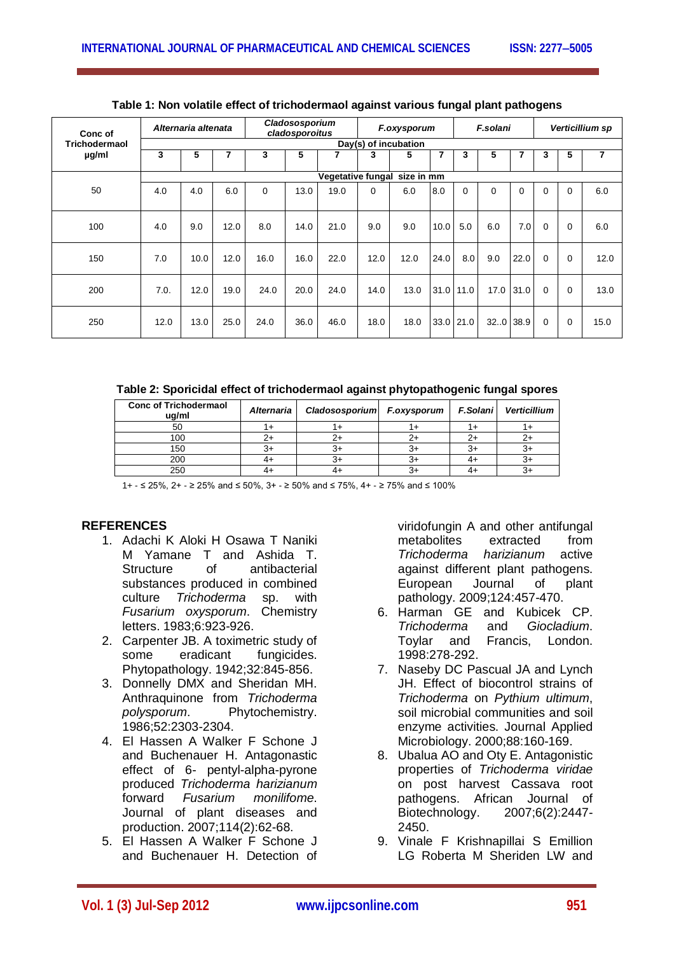| Conc of<br>Trichodermaol<br>µg/ml | Alternaria altenata          |      |      | Cladososporium<br>cladosporoitus |      |      | F.oxysporum |      | F.solani |             | Verticillium sp |             |             |             |                |
|-----------------------------------|------------------------------|------|------|----------------------------------|------|------|-------------|------|----------|-------------|-----------------|-------------|-------------|-------------|----------------|
|                                   | Day(s) of incubation         |      |      |                                  |      |      |             |      |          |             |                 |             |             |             |                |
|                                   | 3                            | 5    |      | 3                                | 5    |      | 3           | 5    | 7        | 3           | 5               |             | 3           | 5           | $\overline{7}$ |
|                                   | Vegetative fungal size in mm |      |      |                                  |      |      |             |      |          |             |                 |             |             |             |                |
| 50                                | 4.0                          | 4.0  | 6.0  | 0                                | 13.0 | 19.0 | 0           | 6.0  | 8.0      | 0           | $\Omega$        | $\mathbf 0$ | $\mathbf 0$ | $\mathbf 0$ | 6.0            |
| 100                               | 4.0                          | 9.0  | 12.0 | 8.0                              | 14.0 | 21.0 | 9.0         | 9.0  | 10.0     | 5.0         | 6.0             | 7.0         | $\Omega$    | $\Omega$    | 6.0            |
| 150                               | 7.0                          | 10.0 | 12.0 | 16.0                             | 16.0 | 22.0 | 12.0        | 12.0 | 24.0     | 8.0         | 9.0             | 22.0        | $\Omega$    | $\Omega$    | 12.0           |
| 200                               | 7.0.                         | 12.0 | 19.0 | 24.0                             | 20.0 | 24.0 | 14.0        | 13.0 | 31.0     | 11.0        | 17.0            | 31.0        | $\Omega$    | $\Omega$    | 13.0           |
| 250                               | 12.0                         | 13.0 | 25.0 | 24.0                             | 36.0 | 46.0 | 18.0        | 18.0 |          | $33.0$ 21.0 | 32.0            | 38.9        | $\Omega$    | $\Omega$    | 15.0           |

#### **Table 1: Non volatile effect of trichodermaol against various fungal plant pathogens**

**Table 2: Sporicidal effect of trichodermaol against phytopathogenic fungal spores**

| <b>Conc of Trichodermaol</b><br>ug/ml | <b>Alternaria</b> | Cladososporium F.oxysporum |    | F.Solani | <b>Verticillium</b> |
|---------------------------------------|-------------------|----------------------------|----|----------|---------------------|
| 50                                    |                   |                            |    |          |                     |
| 100                                   |                   |                            |    |          |                     |
| 150                                   | 3+                |                            | 3+ | 3+       |                     |
| 200                                   |                   |                            | 3+ | 41       |                     |
| 250                                   |                   |                            | 3+ | 44       |                     |

1+ - ≤ 25%, 2+ - ≥ 25% and ≤ 50%, 3+ - ≥ 50% and ≤ 75%, 4+ - ≥ 75% and ≤ 100%

# **REFERENCES**

- 1. Adachi K Aloki H Osawa T Naniki M Yamane T and Ashida T. Structure of antibacterial substances produced in combined culture *Trichoderma* sp. with *Fusarium oxysporum*. Chemistry letters. 1983;6:923-926.
- 2. Carpenter JB. A toximetric study of some eradicant fungicides. Phytopathology. 1942;32:845-856.
- 3. Donnelly DMX and Sheridan MH. Anthraquinone from *Trichoderma polysporum*. Phytochemistry. 1986;52:2303-2304.
- 4. El Hassen A Walker F Schone J and Buchenauer H. Antagonastic effect of 6- pentyl-alpha-pyrone produced *Trichoderma harizianum* forward *Fusarium monilifome*. Journal of plant diseases and production. 2007;114(2):62-68.
- 5. El Hassen A Walker F Schone J and Buchenauer H. Detection of

viridofungin A and other antifungal metabolites extracted from *Trichoderma harizianum* active against different plant pathogens. European Journal of plant pathology. 2009;124:457-470.

- 6. Harman GE and Kubicek CP. *Trichoderma* and *Giocladium*. Toylar and Francis, London. 1998:278-292.
- 7. Naseby DC Pascual JA and Lynch JH. Effect of biocontrol strains of *Trichoderma* on *Pythium ultimum*, soil microbial communities and soil enzyme activities. Journal Applied Microbiology. 2000;88:160-169.
- 8. Ubalua AO and Oty E. Antagonistic properties of *Trichoderma viridae* on post harvest Cassava root pathogens. African Journal of Biotechnology. 2007;6(2):2447- 2450.
- 9. Vinale F Krishnapillai S Emillion LG Roberta M Sheriden LW and